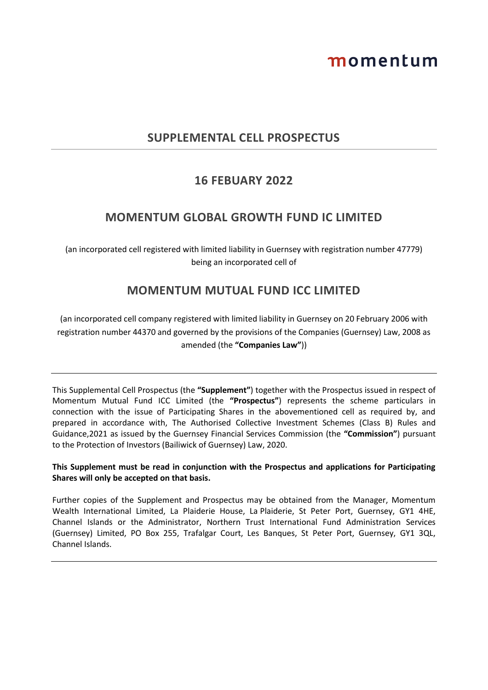# momentum

## **SUPPLEMENTAL CELL PROSPECTUS**

# **16 FEBUARY 2022**

## **MOMENTUM GLOBAL GROWTH FUND IC LIMITED**

(an incorporated cell registered with limited liability in Guernsey with registration number 47779) being an incorporated cell of

# **MOMENTUM MUTUAL FUND ICC LIMITED**

(an incorporated cell company registered with limited liability in Guernsey on 20 February 2006 with registration number 44370 and governed by the provisions of the Companies (Guernsey) Law, 2008 as amended (the **"Companies Law"**))

This Supplemental Cell Prospectus (the **"Supplement"**) together with the Prospectus issued in respect of Momentum Mutual Fund ICC Limited (the **"Prospectus"**) represents the scheme particulars in connection with the issue of Participating Shares in the abovementioned cell as required by, and prepared in accordance with, The Authorised Collective Investment Schemes (Class B) Rules and Guidance,2021 as issued by the Guernsey Financial Services Commission (the **"Commission"**) pursuant to the Protection of Investors (Bailiwick of Guernsey) Law, 2020.

### **This Supplement must be read in conjunction with the Prospectus and applications for Participating Shares will only be accepted on that basis.**

Further copies of the Supplement and Prospectus may be obtained from the Manager, Momentum Wealth International Limited, La Plaiderie House, La Plaiderie, St Peter Port, Guernsey, GY1 4HE, Channel Islands or the Administrator, Northern Trust International Fund Administration Services (Guernsey) Limited, PO Box 255, Trafalgar Court, Les Banques, St Peter Port, Guernsey, GY1 3QL, Channel Islands.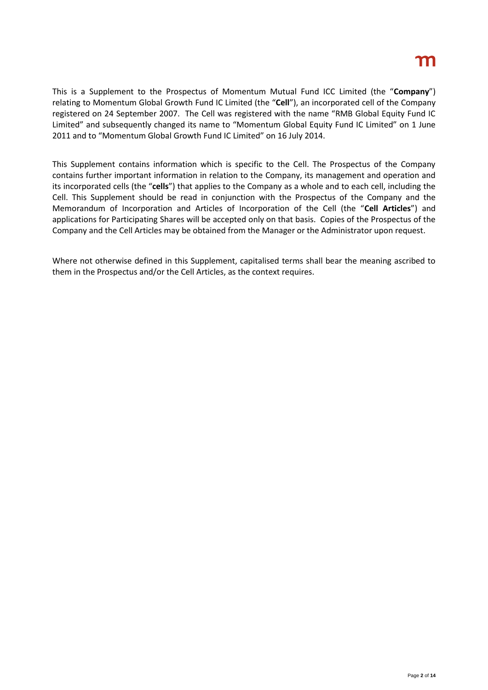# m

This is a Supplement to the Prospectus of Momentum Mutual Fund ICC Limited (the "**Company**") relating to Momentum Global Growth Fund IC Limited (the "**Cell**"), an incorporated cell of the Company registered on 24 September 2007. The Cell was registered with the name "RMB Global Equity Fund IC Limited" and subsequently changed its name to "Momentum Global Equity Fund IC Limited" on 1 June 2011 and to "Momentum Global Growth Fund IC Limited" on 16 July 2014.

This Supplement contains information which is specific to the Cell. The Prospectus of the Company contains further important information in relation to the Company, its management and operation and its incorporated cells (the "**cells**") that applies to the Company as a whole and to each cell, including the Cell. This Supplement should be read in conjunction with the Prospectus of the Company and the Memorandum of Incorporation and Articles of Incorporation of the Cell (the "**Cell Articles**") and applications for Participating Shares will be accepted only on that basis. Copies of the Prospectus of the Company and the Cell Articles may be obtained from the Manager or the Administrator upon request.

Where not otherwise defined in this Supplement, capitalised terms shall bear the meaning ascribed to them in the Prospectus and/or the Cell Articles, as the context requires.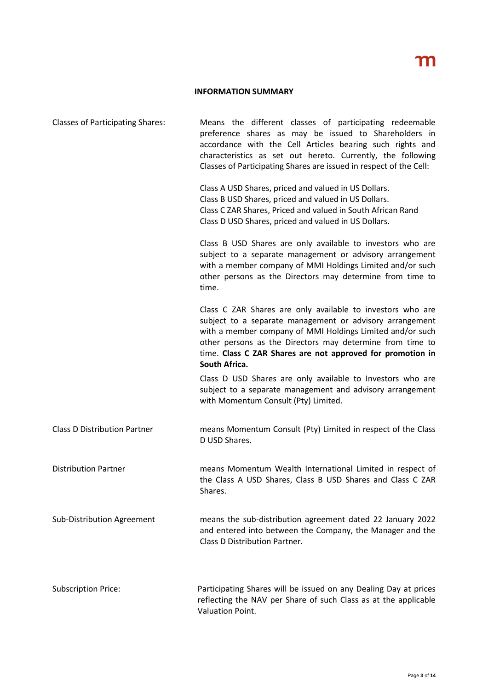#### **INFORMATION SUMMARY**

| <b>Classes of Participating Shares:</b> | Means the different classes of participating redeemable<br>preference shares as may be issued to Shareholders in<br>accordance with the Cell Articles bearing such rights and<br>characteristics as set out hereto. Currently, the following<br>Classes of Participating Shares are issued in respect of the Cell:              |
|-----------------------------------------|---------------------------------------------------------------------------------------------------------------------------------------------------------------------------------------------------------------------------------------------------------------------------------------------------------------------------------|
|                                         | Class A USD Shares, priced and valued in US Dollars.<br>Class B USD Shares, priced and valued in US Dollars.<br>Class C ZAR Shares, Priced and valued in South African Rand<br>Class D USD Shares, priced and valued in US Dollars.                                                                                             |
|                                         | Class B USD Shares are only available to investors who are<br>subject to a separate management or advisory arrangement<br>with a member company of MMI Holdings Limited and/or such<br>other persons as the Directors may determine from time to<br>time.                                                                       |
|                                         | Class C ZAR Shares are only available to investors who are<br>subject to a separate management or advisory arrangement<br>with a member company of MMI Holdings Limited and/or such<br>other persons as the Directors may determine from time to<br>time. Class C ZAR Shares are not approved for promotion in<br>South Africa. |
|                                         | Class D USD Shares are only available to Investors who are<br>subject to a separate management and advisory arrangement<br>with Momentum Consult (Pty) Limited.                                                                                                                                                                 |
| <b>Class D Distribution Partner</b>     | means Momentum Consult (Pty) Limited in respect of the Class<br>D USD Shares.                                                                                                                                                                                                                                                   |
| <b>Distribution Partner</b>             | means Momentum Wealth International Limited in respect of<br>the Class A USD Shares, Class B USD Shares and Class C ZAR<br>Shares.                                                                                                                                                                                              |
| Sub-Distribution Agreement              | means the sub-distribution agreement dated 22 January 2022<br>and entered into between the Company, the Manager and the<br>Class D Distribution Partner.                                                                                                                                                                        |
| <b>Subscription Price:</b>              | Participating Shares will be issued on any Dealing Day at prices<br>reflecting the NAV per Share of such Class as at the applicable<br>Valuation Point.                                                                                                                                                                         |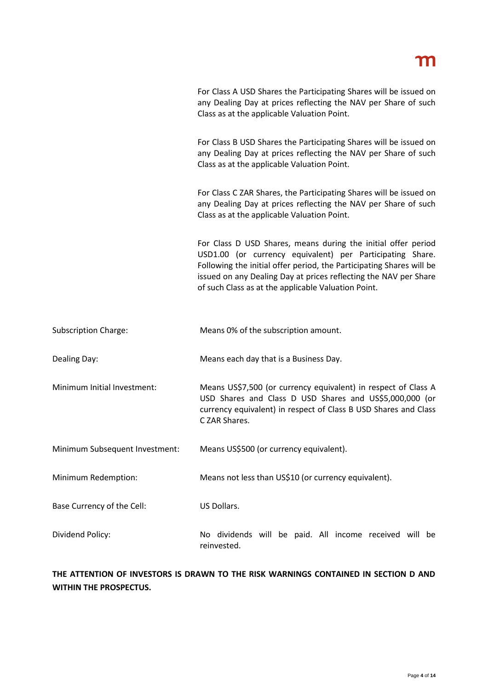For Class A USD Shares the Participating Shares will be issued on any Dealing Day at prices reflecting the NAV per Share of such Class as at the applicable Valuation Point.

For Class B USD Shares the Participating Shares will be issued on any Dealing Day at prices reflecting the NAV per Share of such Class as at the applicable Valuation Point.

For Class C ZAR Shares, the Participating Shares will be issued on any Dealing Day at prices reflecting the NAV per Share of such Class as at the applicable Valuation Point.

For Class D USD Shares, means during the initial offer period USD1.00 (or currency equivalent) per Participating Share. Following the initial offer period, the Participating Shares will be issued on any Dealing Day at prices reflecting the NAV per Share of such Class as at the applicable Valuation Point.

Dealing Day: Means each day that is a Business Day.

Minimum Initial Investment: Means US\$7,500 (or currency equivalent) in respect of Class A USD Shares and Class D USD Shares and US\$5,000,000 (or currency equivalent) in respect of Class B USD Shares and Class C ZAR Shares.

Minimum Subsequent Investment: Means US\$500 (or currency equivalent).

Minimum Redemption: Means not less than US\$10 (or currency equivalent).

Base Currency of the Cell: US Dollars.

Dividend Policy: No dividends will be paid. All income received will be reinvested.

**THE ATTENTION OF INVESTORS IS DRAWN TO THE RISK WARNINGS CONTAINED IN SECTION D AND WITHIN THE PROSPECTUS.**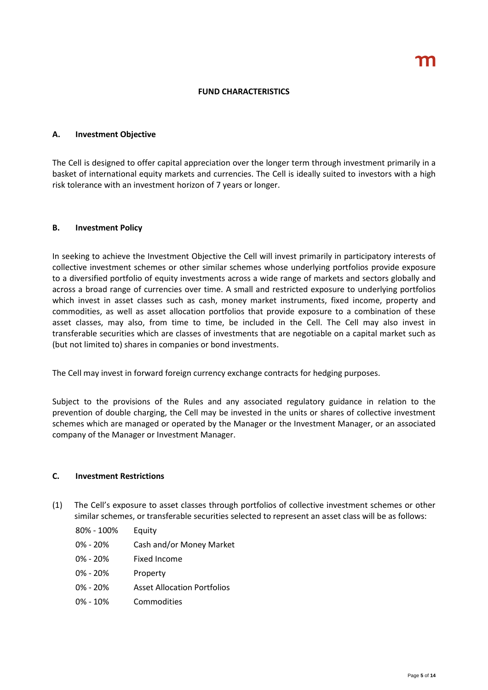#### **FUND CHARACTERISTICS**

#### **A. Investment Objective**

The Cell is designed to offer capital appreciation over the longer term through investment primarily in a basket of international equity markets and currencies. The Cell is ideally suited to investors with a high risk tolerance with an investment horizon of 7 years or longer.

#### **B. Investment Policy**

In seeking to achieve the Investment Objective the Cell will invest primarily in participatory interests of collective investment schemes or other similar schemes whose underlying portfolios provide exposure to a diversified portfolio of equity investments across a wide range of markets and sectors globally and across a broad range of currencies over time. A small and restricted exposure to underlying portfolios which invest in asset classes such as cash, money market instruments, fixed income, property and commodities, as well as asset allocation portfolios that provide exposure to a combination of these asset classes, may also, from time to time, be included in the Cell. The Cell may also invest in transferable securities which are classes of investments that are negotiable on a capital market such as (but not limited to) shares in companies or bond investments.

The Cell may invest in forward foreign currency exchange contracts for hedging purposes.

Subject to the provisions of the Rules and any associated regulatory guidance in relation to the prevention of double charging, the Cell may be invested in the units or shares of collective investment schemes which are managed or operated by the Manager or the Investment Manager, or an associated company of the Manager or Investment Manager.

#### **C. Investment Restrictions**

- (1) The Cell's exposure to asset classes through portfolios of collective investment schemes or other similar schemes, or transferable securities selected to represent an asset class will be as follows:
	- 80% 100% Equity
	- 0% 20% Cash and/or Money Market
	- 0% 20% Fixed Income
	- 0% 20% Property
	- 0% 20% Asset Allocation Portfolios
	- 0% 10% Commodities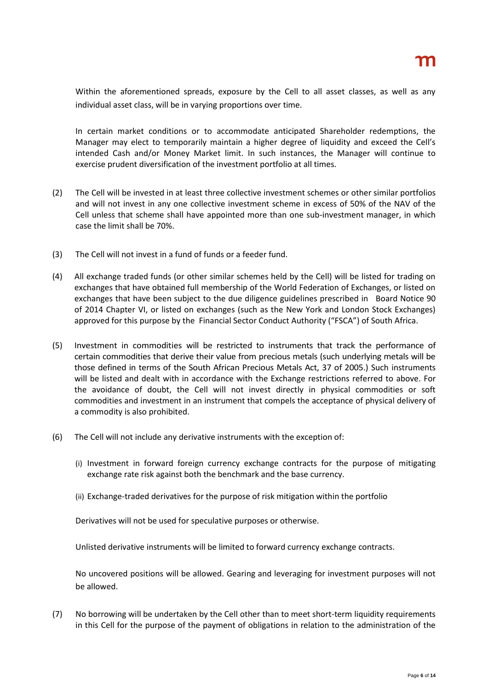Within the aforementioned spreads, exposure by the Cell to all asset classes, as well as any individual asset class, will be in varying proportions over time.

In certain market conditions or to accommodate anticipated Shareholder redemptions, the Manager may elect to temporarily maintain a higher degree of liquidity and exceed the Cell's intended Cash and/or Money Market limit. In such instances, the Manager will continue to exercise prudent diversification of the investment portfolio at all times.

- (2) The Cell will be invested in at least three collective investment schemes or other similar portfolios and will not invest in any one collective investment scheme in excess of 50% of the NAV of the Cell unless that scheme shall have appointed more than one sub-investment manager, in which case the limit shall be 70%.
- (3) The Cell will not invest in a fund of funds or a feeder fund.
- (4) All exchange traded funds (or other similar schemes held by the Cell) will be listed for trading on exchanges that have obtained full membership of the World Federation of Exchanges, or listed on exchanges that have been subject to the due diligence guidelines prescribed in Board Notice 90 of 2014 Chapter VI, or listed on exchanges (such as the New York and London Stock Exchanges) approved for this purpose by the Financial Sector Conduct Authority ("FSCA") of South Africa.
- (5) Investment in commodities will be restricted to instruments that track the performance of certain commodities that derive their value from precious metals (such underlying metals will be those defined in terms of the South African Precious Metals Act, 37 of 2005.) Such instruments will be listed and dealt with in accordance with the Exchange restrictions referred to above. For the avoidance of doubt, the Cell will not invest directly in physical commodities or soft commodities and investment in an instrument that compels the acceptance of physical delivery of a commodity is also prohibited.
- (6) The Cell will not include any derivative instruments with the exception of:
	- (i) Investment in forward foreign currency exchange contracts for the purpose of mitigating exchange rate risk against both the benchmark and the base currency.
	- (ii) Exchange-traded derivatives for the purpose of risk mitigation within the portfolio

Derivatives will not be used for speculative purposes or otherwise.

Unlisted derivative instruments will be limited to forward currency exchange contracts.

No uncovered positions will be allowed. Gearing and leveraging for investment purposes will not be allowed.

(7) No borrowing will be undertaken by the Cell other than to meet short-term liquidity requirements in this Cell for the purpose of the payment of obligations in relation to the administration of the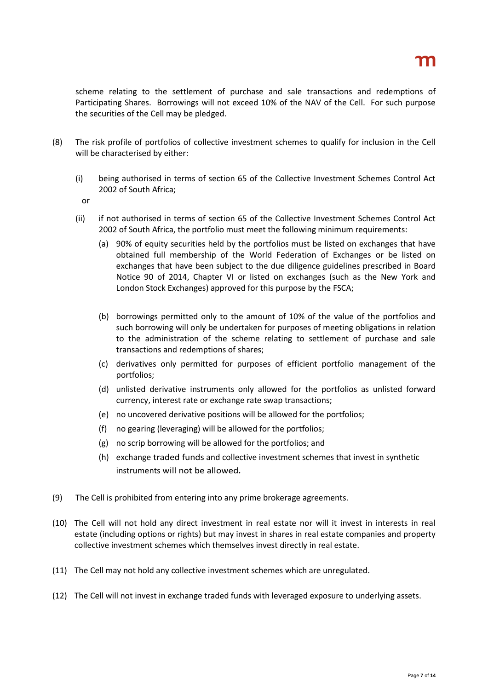scheme relating to the settlement of purchase and sale transactions and redemptions of Participating Shares. Borrowings will not exceed 10% of the NAV of the Cell. For such purpose the securities of the Cell may be pledged.

- (8) The risk profile of portfolios of collective investment schemes to qualify for inclusion in the Cell will be characterised by either:
	- (i) being authorised in terms of section 65 of the Collective Investment Schemes Control Act 2002 of South Africa;
		- or
	- (ii) if not authorised in terms of section 65 of the Collective Investment Schemes Control Act 2002 of South Africa, the portfolio must meet the following minimum requirements:
		- (a) 90% of equity securities held by the portfolios must be listed on exchanges that have obtained full membership of the World Federation of Exchanges or be listed on exchanges that have been subject to the due diligence guidelines prescribed in Board Notice 90 of 2014, Chapter VI or listed on exchanges (such as the New York and London Stock Exchanges) approved for this purpose by the FSCA;
		- (b) borrowings permitted only to the amount of 10% of the value of the portfolios and such borrowing will only be undertaken for purposes of meeting obligations in relation to the administration of the scheme relating to settlement of purchase and sale transactions and redemptions of shares;
		- (c) derivatives only permitted for purposes of efficient portfolio management of the portfolios;
		- (d) unlisted derivative instruments only allowed for the portfolios as unlisted forward currency, interest rate or exchange rate swap transactions;
		- (e) no uncovered derivative positions will be allowed for the portfolios;
		- (f) no gearing (leveraging) will be allowed for the portfolios;
		- (g) no scrip borrowing will be allowed for the portfolios; and
		- (h) exchange traded funds and collective investment schemes that invest in synthetic instruments will not be allowed*.*
- (9) The Cell is prohibited from entering into any prime brokerage agreements.
- (10) The Cell will not hold any direct investment in real estate nor will it invest in interests in real estate (including options or rights) but may invest in shares in real estate companies and property collective investment schemes which themselves invest directly in real estate.
- (11) The Cell may not hold any collective investment schemes which are unregulated.
- (12) The Cell will not invest in exchange traded funds with leveraged exposure to underlying assets.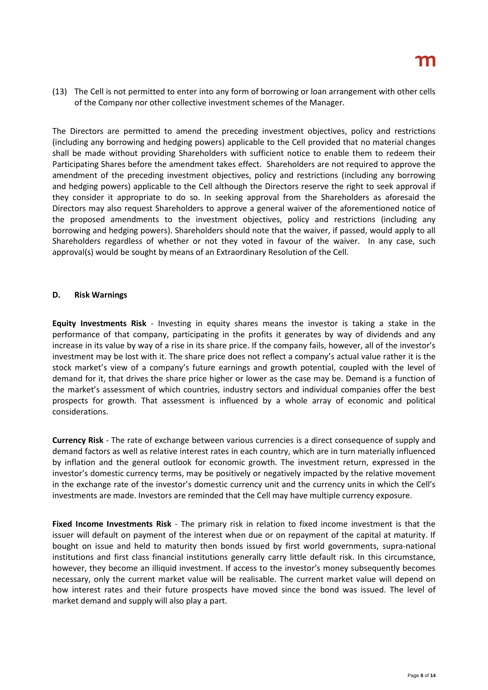(13) The Cell is not permitted to enter into any form of borrowing or loan arrangement with other cells of the Company nor other collective investment schemes of the Manager.

The Directors are permitted to amend the preceding investment objectives, policy and restrictions (including any borrowing and hedging powers) applicable to the Cell provided that no material changes shall be made without providing Shareholders with sufficient notice to enable them to redeem their Participating Shares before the amendment takes effect. Shareholders are not required to approve the amendment of the preceding investment objectives, policy and restrictions (including any borrowing and hedging powers) applicable to the Cell although the Directors reserve the right to seek approval if they consider it appropriate to do so. In seeking approval from the Shareholders as aforesaid the Directors may also request Shareholders to approve a general waiver of the aforementioned notice of the proposed amendments to the investment objectives, policy and restrictions (including any borrowing and hedging powers). Shareholders should note that the waiver, if passed, would apply to all Shareholders regardless of whether or not they voted in favour of the waiver. In any case, such approval(s) would be sought by means of an Extraordinary Resolution of the Cell.

#### **D. Risk Warnings**

**Equity Investments Risk** - Investing in equity shares means the investor is taking a stake in the performance of that company, participating in the profits it generates by way of dividends and any increase in its value by way of a rise in its share price. If the company fails, however, all of the investor's investment may be lost with it. The share price does not reflect a company's actual value rather it is the stock market's view of a company's future earnings and growth potential, coupled with the level of demand for it, that drives the share price higher or lower as the case may be. Demand is a function of the market's assessment of which countries, industry sectors and individual companies offer the best prospects for growth. That assessment is influenced by a whole array of economic and political considerations.

**Currency Risk** - The rate of exchange between various currencies is a direct consequence of supply and demand factors as well as relative interest rates in each country, which are in turn materially influenced by inflation and the general outlook for economic growth. The investment return, expressed in the investor's domestic currency terms, may be positively or negatively impacted by the relative movement in the exchange rate of the investor's domestic currency unit and the currency units in which the Cell's investments are made. Investors are reminded that the Cell may have multiple currency exposure.

**Fixed Income Investments Risk** - The primary risk in relation to fixed income investment is that the issuer will default on payment of the interest when due or on repayment of the capital at maturity. If bought on issue and held to maturity then bonds issued by first world governments, supra-national institutions and first class financial institutions generally carry little default risk. In this circumstance, however, they become an illiquid investment. If access to the investor's money subsequently becomes necessary, only the current market value will be realisable. The current market value will depend on how interest rates and their future prospects have moved since the bond was issued. The level of market demand and supply will also play a part.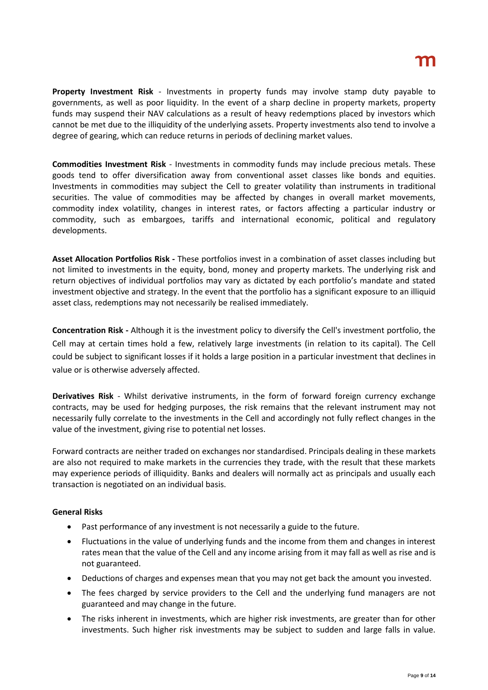**Property Investment Risk** - Investments in property funds may involve stamp duty payable to governments, as well as poor liquidity. In the event of a sharp decline in property markets, property funds may suspend their NAV calculations as a result of heavy redemptions placed by investors which cannot be met due to the illiquidity of the underlying assets. Property investments also tend to involve a degree of gearing, which can reduce returns in periods of declining market values.

**Commodities Investment Risk** - Investments in commodity funds may include precious metals. These goods tend to offer diversification away from conventional asset classes like bonds and equities. Investments in commodities may subject the Cell to greater volatility than instruments in traditional securities. The value of commodities may be affected by changes in overall market movements, commodity index volatility, changes in interest rates, or factors affecting a particular industry or commodity, such as embargoes, tariffs and international economic, political and regulatory developments.

**Asset Allocation Portfolios Risk -** These portfolios invest in a combination of asset classes including but not limited to investments in the equity, bond, money and property markets. The underlying risk and return objectives of individual portfolios may vary as dictated by each portfolio's mandate and stated investment objective and strategy. In the event that the portfolio has a significant exposure to an illiquid asset class, redemptions may not necessarily be realised immediately.

**Concentration Risk -** Although it is the investment policy to diversify the Cell's investment portfolio, the Cell may at certain times hold a few, relatively large investments (in relation to its capital). The Cell could be subject to significant losses if it holds a large position in a particular investment that declines in value or is otherwise adversely affected.

**Derivatives Risk** - Whilst derivative instruments, in the form of forward foreign currency exchange contracts, may be used for hedging purposes, the risk remains that the relevant instrument may not necessarily fully correlate to the investments in the Cell and accordingly not fully reflect changes in the value of the investment, giving rise to potential net losses.

Forward contracts are neither traded on exchanges nor standardised. Principals dealing in these markets are also not required to make markets in the currencies they trade, with the result that these markets may experience periods of illiquidity. Banks and dealers will normally act as principals and usually each transaction is negotiated on an individual basis.

### **General Risks**

- Past performance of any investment is not necessarily a guide to the future.
- Fluctuations in the value of underlying funds and the income from them and changes in interest rates mean that the value of the Cell and any income arising from it may fall as well as rise and is not guaranteed.
- Deductions of charges and expenses mean that you may not get back the amount you invested.
- The fees charged by service providers to the Cell and the underlying fund managers are not guaranteed and may change in the future.
- The risks inherent in investments, which are higher risk investments, are greater than for other investments. Such higher risk investments may be subject to sudden and large falls in value.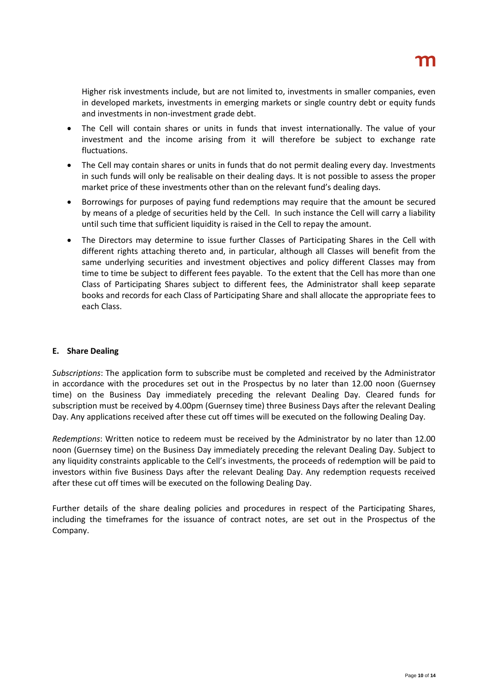Higher risk investments include, but are not limited to, investments in smaller companies, even in developed markets, investments in emerging markets or single country debt or equity funds and investments in non-investment grade debt.

- The Cell will contain shares or units in funds that invest internationally. The value of your investment and the income arising from it will therefore be subject to exchange rate fluctuations.
- The Cell may contain shares or units in funds that do not permit dealing every day. Investments in such funds will only be realisable on their dealing days. It is not possible to assess the proper market price of these investments other than on the relevant fund's dealing days.
- Borrowings for purposes of paying fund redemptions may require that the amount be secured by means of a pledge of securities held by the Cell. In such instance the Cell will carry a liability until such time that sufficient liquidity is raised in the Cell to repay the amount.
- The Directors may determine to issue further Classes of Participating Shares in the Cell with different rights attaching thereto and, in particular, although all Classes will benefit from the same underlying securities and investment objectives and policy different Classes may from time to time be subject to different fees payable. To the extent that the Cell has more than one Class of Participating Shares subject to different fees, the Administrator shall keep separate books and records for each Class of Participating Share and shall allocate the appropriate fees to each Class.

### **E. Share Dealing**

*Subscriptions*: The application form to subscribe must be completed and received by the Administrator in accordance with the procedures set out in the Prospectus by no later than 12.00 noon (Guernsey time) on the Business Day immediately preceding the relevant Dealing Day. Cleared funds for subscription must be received by 4.00pm (Guernsey time) three Business Days after the relevant Dealing Day. Any applications received after these cut off times will be executed on the following Dealing Day.

*Redemptions*: Written notice to redeem must be received by the Administrator by no later than 12.00 noon (Guernsey time) on the Business Day immediately preceding the relevant Dealing Day. Subject to any liquidity constraints applicable to the Cell's investments, the proceeds of redemption will be paid to investors within five Business Days after the relevant Dealing Day. Any redemption requests received after these cut off times will be executed on the following Dealing Day.

Further details of the share dealing policies and procedures in respect of the Participating Shares, including the timeframes for the issuance of contract notes, are set out in the Prospectus of the Company.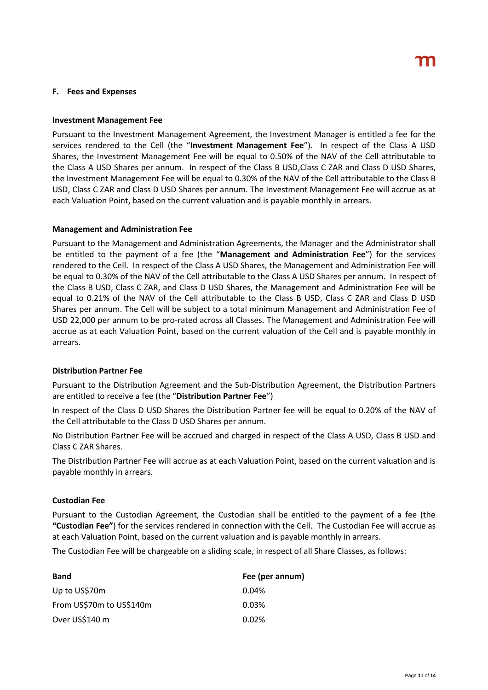#### **F. Fees and Expenses**

#### **Investment Management Fee**

Pursuant to the Investment Management Agreement, the Investment Manager is entitled a fee for the services rendered to the Cell (the "**Investment Management Fee**"). In respect of the Class A USD Shares, the Investment Management Fee will be equal to 0.50% of the NAV of the Cell attributable to the Class A USD Shares per annum. In respect of the Class B USD,Class C ZAR and Class D USD Shares, the Investment Management Fee will be equal to 0.30% of the NAV of the Cell attributable to the Class B USD, Class C ZAR and Class D USD Shares per annum. The Investment Management Fee will accrue as at each Valuation Point, based on the current valuation and is payable monthly in arrears.

#### **Management and Administration Fee**

Pursuant to the Management and Administration Agreements, the Manager and the Administrator shall be entitled to the payment of a fee (the "**Management and Administration Fee**") for the services rendered to the Cell. In respect of the Class A USD Shares, the Management and Administration Fee will be equal to 0.30% of the NAV of the Cell attributable to the Class A USD Shares per annum. In respect of the Class B USD, Class C ZAR, and Class D USD Shares, the Management and Administration Fee will be equal to 0.21% of the NAV of the Cell attributable to the Class B USD, Class C ZAR and Class D USD Shares per annum. The Cell will be subject to a total minimum Management and Administration Fee of USD 22,000 per annum to be pro-rated across all Classes. The Management and Administration Fee will accrue as at each Valuation Point, based on the current valuation of the Cell and is payable monthly in arrears.

#### **Distribution Partner Fee**

Pursuant to the Distribution Agreement and the Sub-Distribution Agreement, the Distribution Partners are entitled to receive a fee (the "**Distribution Partner Fee**")

In respect of the Class D USD Shares the Distribution Partner fee will be equal to 0.20% of the NAV of the Cell attributable to the Class D USD Shares per annum.

No Distribution Partner Fee will be accrued and charged in respect of the Class A USD, Class B USD and Class C ZAR Shares.

The Distribution Partner Fee will accrue as at each Valuation Point, based on the current valuation and is payable monthly in arrears.

#### **Custodian Fee**

Pursuant to the Custodian Agreement, the Custodian shall be entitled to the payment of a fee (the **"Custodian Fee"**) for the services rendered in connection with the Cell. The Custodian Fee will accrue as at each Valuation Point, based on the current valuation and is payable monthly in arrears.

The Custodian Fee will be chargeable on a sliding scale, in respect of all Share Classes, as follows:

| <b>Band</b>              | Fee (per annum) |
|--------------------------|-----------------|
| Up to US\$70m            | 0.04%           |
| From US\$70m to US\$140m | 0.03%           |
| Over US\$140 m           | 0.02%           |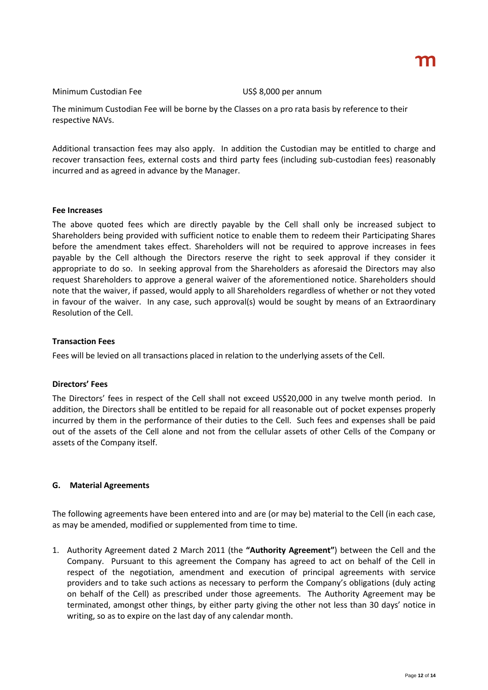#### Minimum Custodian Fee US\$ 8,000 per annum

The minimum Custodian Fee will be borne by the Classes on a pro rata basis by reference to their respective NAVs.

Additional transaction fees may also apply. In addition the Custodian may be entitled to charge and recover transaction fees, external costs and third party fees (including sub-custodian fees) reasonably incurred and as agreed in advance by the Manager.

#### **Fee Increases**

The above quoted fees which are directly payable by the Cell shall only be increased subject to Shareholders being provided with sufficient notice to enable them to redeem their Participating Shares before the amendment takes effect. Shareholders will not be required to approve increases in fees payable by the Cell although the Directors reserve the right to seek approval if they consider it appropriate to do so. In seeking approval from the Shareholders as aforesaid the Directors may also request Shareholders to approve a general waiver of the aforementioned notice. Shareholders should note that the waiver, if passed, would apply to all Shareholders regardless of whether or not they voted in favour of the waiver. In any case, such approval(s) would be sought by means of an Extraordinary Resolution of the Cell.

#### **Transaction Fees**

Fees will be levied on all transactions placed in relation to the underlying assets of the Cell.

#### **Directors' Fees**

The Directors' fees in respect of the Cell shall not exceed US\$20,000 in any twelve month period. In addition, the Directors shall be entitled to be repaid for all reasonable out of pocket expenses properly incurred by them in the performance of their duties to the Cell. Such fees and expenses shall be paid out of the assets of the Cell alone and not from the cellular assets of other Cells of the Company or assets of the Company itself.

#### **G. Material Agreements**

The following agreements have been entered into and are (or may be) material to the Cell (in each case, as may be amended, modified or supplemented from time to time.

1. Authority Agreement dated 2 March 2011 (the **"Authority Agreement"**) between the Cell and the Company. Pursuant to this agreement the Company has agreed to act on behalf of the Cell in respect of the negotiation, amendment and execution of principal agreements with service providers and to take such actions as necessary to perform the Company's obligations (duly acting on behalf of the Cell) as prescribed under those agreements. The Authority Agreement may be terminated, amongst other things, by either party giving the other not less than 30 days' notice in writing, so as to expire on the last day of any calendar month.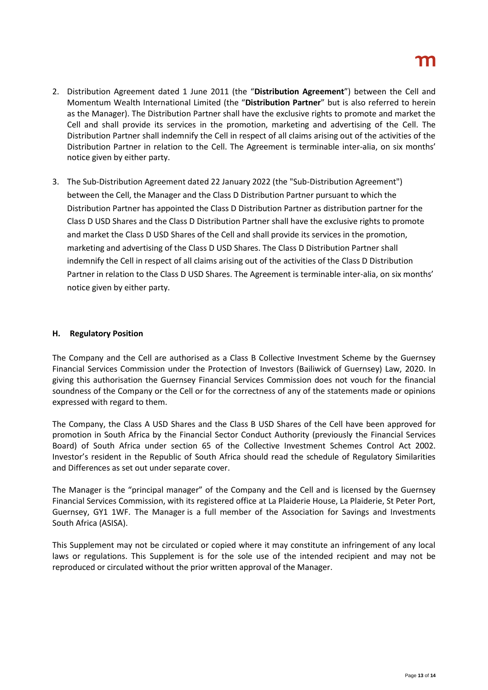- 2. Distribution Agreement dated 1 June 2011 (the "**Distribution Agreement**") between the Cell and Momentum Wealth International Limited (the "**Distribution Partner**" but is also referred to herein as the Manager). The Distribution Partner shall have the exclusive rights to promote and market the Cell and shall provide its services in the promotion, marketing and advertising of the Cell. The Distribution Partner shall indemnify the Cell in respect of all claims arising out of the activities of the Distribution Partner in relation to the Cell. The Agreement is terminable inter-alia, on six months' notice given by either party.
- 3. The Sub-Distribution Agreement dated 22 January 2022 (the "Sub-Distribution Agreement") between the Cell, the Manager and the Class D Distribution Partner pursuant to which the Distribution Partner has appointed the Class D Distribution Partner as distribution partner for the Class D USD Shares and the Class D Distribution Partner shall have the exclusive rights to promote and market the Class D USD Shares of the Cell and shall provide its services in the promotion, marketing and advertising of the Class D USD Shares. The Class D Distribution Partner shall indemnify the Cell in respect of all claims arising out of the activities of the Class D Distribution Partner in relation to the Class D USD Shares. The Agreement is terminable inter-alia, on six months' notice given by either party.

#### **H. Regulatory Position**

The Company and the Cell are authorised as a Class B Collective Investment Scheme by the Guernsey Financial Services Commission under the Protection of Investors (Bailiwick of Guernsey) Law, 2020. In giving this authorisation the Guernsey Financial Services Commission does not vouch for the financial soundness of the Company or the Cell or for the correctness of any of the statements made or opinions expressed with regard to them.

The Company, the Class A USD Shares and the Class B USD Shares of the Cell have been approved for promotion in South Africa by the Financial Sector Conduct Authority (previously the Financial Services Board) of South Africa under section 65 of the Collective Investment Schemes Control Act 2002. Investor's resident in the Republic of South Africa should read the schedule of Regulatory Similarities and Differences as set out under separate cover.

The Manager is the "principal manager" of the Company and the Cell and is licensed by the Guernsey Financial Services Commission, with its registered office at La Plaiderie House, La Plaiderie, St Peter Port, Guernsey, GY1 1WF. The Manager is a full member of the Association for Savings and Investments South Africa (ASISA).

This Supplement may not be circulated or copied where it may constitute an infringement of any local laws or regulations. This Supplement is for the sole use of the intended recipient and may not be reproduced or circulated without the prior written approval of the Manager.